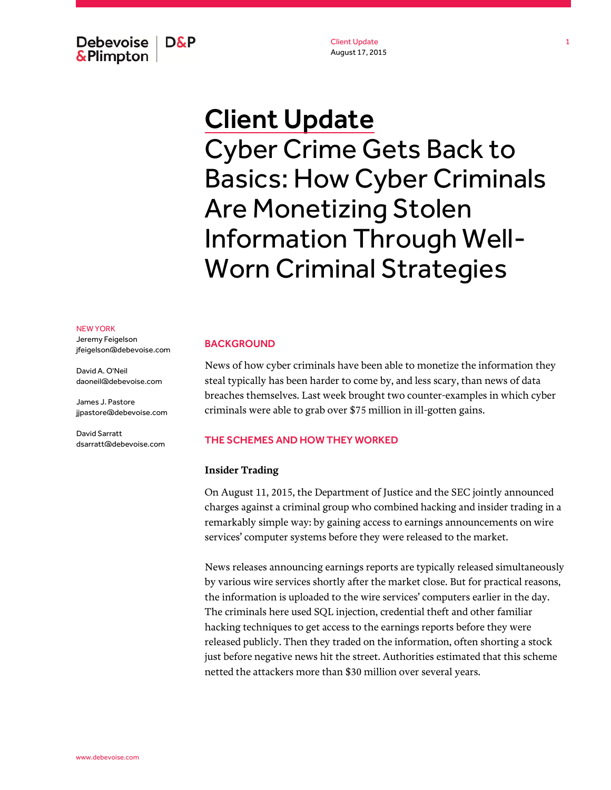Debevoise **D&P** & Plimpton

Client Update August 17, 2015

# Client Update Cyber Crime Gets Back to Basics: How Cyber Criminals Are Monetizing Stolen Information Through Well-Worn Criminal Strategies

#### BACKGROUND

News of how cyber criminals have been able to monetize the information they steal typically has been harder to come by, and less scary, than news of data breaches themselves. Last week brought two counter-examples in which cyber criminals were able to grab over \$75 million in ill-gotten gains.

### THE SCHEMES AND HOW THEY WORKED

#### **Insider Trading**

On August 11, 2015, the Department of Justice and the SEC jointly announced charges against a criminal group who combined hacking and insider trading in a remarkably simple way: by gaining access to earnings announcements on wire services' computer systems before they were released to the market.

News releases announcing earnings reports are typically released simultaneously by various wire services shortly after the market close. But for practical reasons, the information is uploaded to the wire services' computers earlier in the day. The criminals here used SQL injection, credential theft and other familiar hacking techniques to get access to the earnings reports before they were released publicly. Then they traded on the information, often shorting a stock just before negative news hit the street. Authorities estimated that this scheme netted the attackers more than \$30 million over several years.

Jeremy Feigelson jfeigelson@debevoise.com

David A. O'Neil daoneil@debevoise.com

James J. Pastore jjpastore@debevoise.com

David Sarratt dsarratt@debevoise.com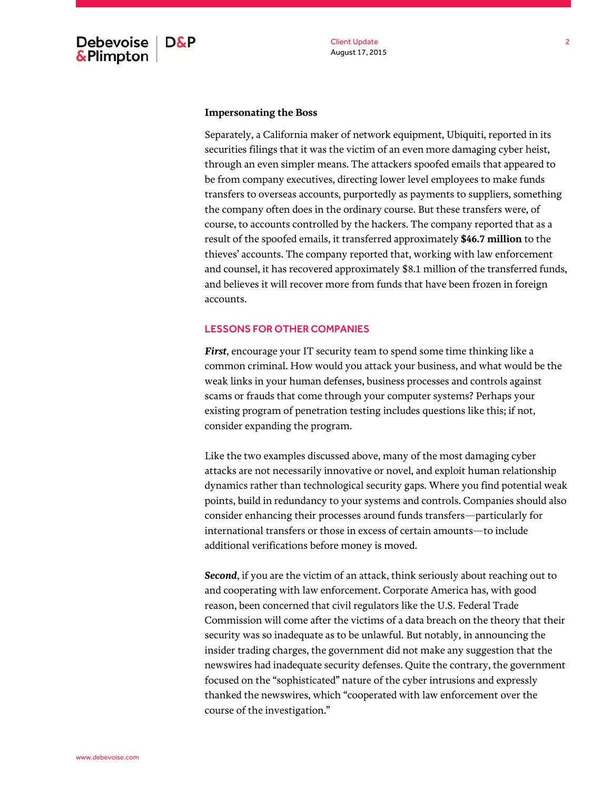## **Impersonating the Boss**

Separately, a California maker of network equipment, Ubiquiti, reported in its securities filings that it was the victim of an even more damaging cyber heist, through an even simpler means. The attackers spoofed emails that appeared to be from company executives, directing lower level employees to make funds transfers to overseas accounts, purportedly as payments to suppliers, something the company often does in the ordinary course. But these transfers were, of course, to accounts controlled by the hackers. The company reported that as a result of the spoofed emails, it transferred approximately **\$46.7 million** to the thieves' accounts. The company reported that, working with law enforcement and counsel, it has recovered approximately \$8.1 million of the transferred funds, and believes it will recover more from funds that have been frozen in foreign accounts.

# LESSONS FOR OTHER COMPANIES

*First*, encourage your IT security team to spend some time thinking like a common criminal. How would you attack your business, and what would be the weak links in your human defenses, business processes and controls against scams or frauds that come through your computer systems? Perhaps your existing program of penetration testing includes questions like this; if not, consider expanding the program.

Like the two examples discussed above, many of the most damaging cyber attacks are not necessarily innovative or novel, and exploit human relationship dynamics rather than technological security gaps. Where you find potential weak points, build in redundancy to your systems and controls. Companies should also consider enhancing their processes around funds transfers—particularly for international transfers or those in excess of certain amounts—to include additional verifications before money is moved.

*Second*, if you are the victim of an attack, think seriously about reaching out to and cooperating with law enforcement. Corporate America has, with good reason, been concerned that civil regulators like the U.S. Federal Trade Commission will come after the victims of a data breach on the theory that their security was so inadequate as to be unlawful. But notably, in announcing the insider trading charges, the government did not make any suggestion that the newswires had inadequate security defenses. Quite the contrary, the government focused on the "sophisticated" nature of the cyber intrusions and expressly thanked the newswires, which "cooperated with law enforcement over the course of the investigation."